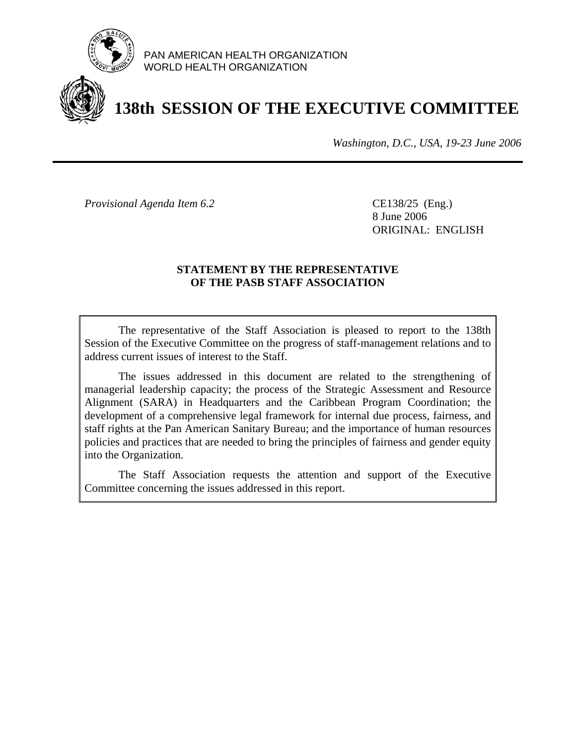

PAN AMERICAN HEALTH ORGANIZATION WORLD HEALTH ORGANIZATION

# **138th SESSION OF THE EXECUTIVE COMMITTEE**

*Washington, D.C., USA, 19-23 June 2006*

*Provisional Agenda Item 6.2* CE138/25 (Eng.)

 8 June 2006 ORIGINAL: ENGLISH

#### **STATEMENT BY THE REPRESENTATIVE OF THE PASB STAFF ASSOCIATION**

 The representative of the Staff Association is pleased to report to the 138th Session of the Executive Committee on the progress of staff-management relations and to address current issues of interest to the Staff.

 The issues addressed in this document are related to the strengthening of managerial leadership capacity; the process of the Strategic Assessment and Resource Alignment (SARA) in Headquarters and the Caribbean Program Coordination; the development of a comprehensive legal framework for internal due process, fairness, and staff rights at the Pan American Sanitary Bureau; and the importance of human resources policies and practices that are needed to bring the principles of fairness and gender equity into the Organization.

 The Staff Association requests the attention and support of the Executive Committee concerning the issues addressed in this report.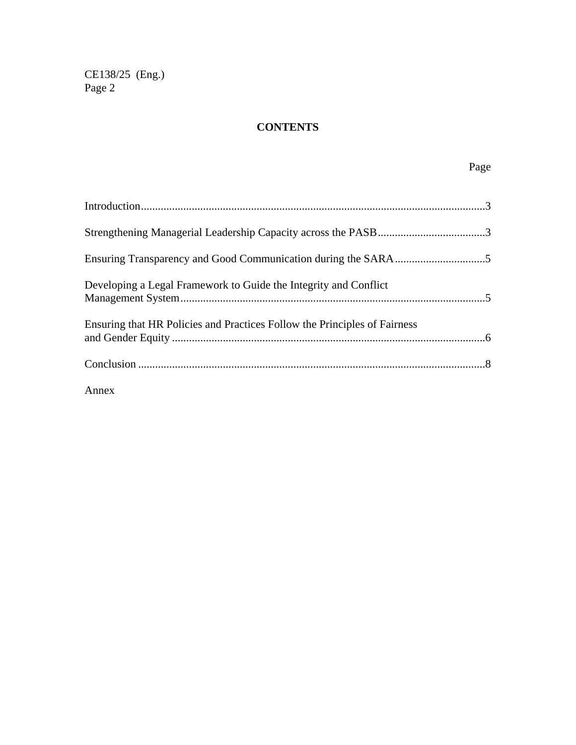### **CONTENTS**

## Page

| Developing a Legal Framework to Guide the Integrity and Conflict          |  |
|---------------------------------------------------------------------------|--|
| Ensuring that HR Policies and Practices Follow the Principles of Fairness |  |
|                                                                           |  |

Annex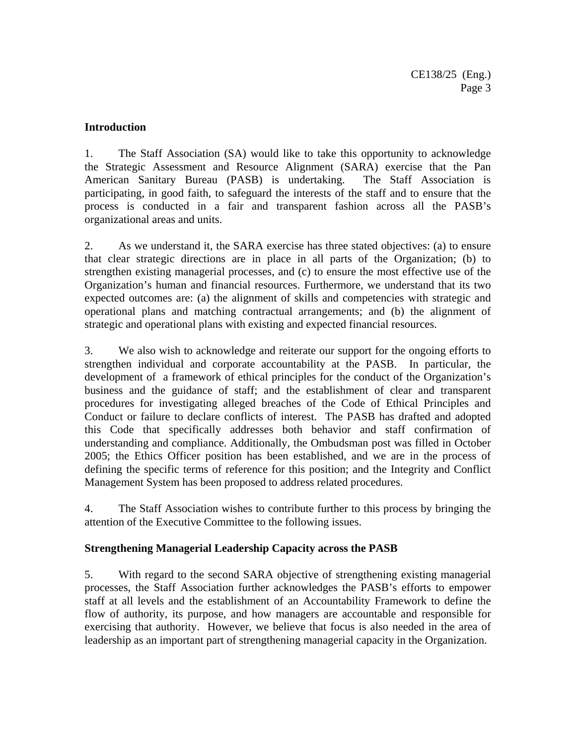#### **Introduction**

1. The Staff Association (SA) would like to take this opportunity to acknowledge the Strategic Assessment and Resource Alignment (SARA) exercise that the Pan American Sanitary Bureau (PASB) is undertaking. The Staff Association is participating, in good faith, to safeguard the interests of the staff and to ensure that the process is conducted in a fair and transparent fashion across all the PASB's organizational areas and units.

2. As we understand it, the SARA exercise has three stated objectives: (a) to ensure that clear strategic directions are in place in all parts of the Organization; (b) to strengthen existing managerial processes, and (c) to ensure the most effective use of the Organization's human and financial resources. Furthermore, we understand that its two expected outcomes are: (a) the alignment of skills and competencies with strategic and operational plans and matching contractual arrangements; and (b) the alignment of strategic and operational plans with existing and expected financial resources.

3. We also wish to acknowledge and reiterate our support for the ongoing efforts to strengthen individual and corporate accountability at the PASB. In particular, the development of a framework of ethical principles for the conduct of the Organization's business and the guidance of staff; and the establishment of clear and transparent procedures for investigating alleged breaches of the Code of Ethical Principles and Conduct or failure to declare conflicts of interest. The PASB has drafted and adopted this Code that specifically addresses both behavior and staff confirmation of understanding and compliance. Additionally, the Ombudsman post was filled in October 2005; the Ethics Officer position has been established, and we are in the process of defining the specific terms of reference for this position; and the Integrity and Conflict Management System has been proposed to address related procedures.

4. The Staff Association wishes to contribute further to this process by bringing the attention of the Executive Committee to the following issues.

#### **Strengthening Managerial Leadership Capacity across the PASB**

5. With regard to the second SARA objective of strengthening existing managerial processes, the Staff Association further acknowledges the PASB's efforts to empower staff at all levels and the establishment of an Accountability Framework to define the flow of authority, its purpose, and how managers are accountable and responsible for exercising that authority. However, we believe that focus is also needed in the area of leadership as an important part of strengthening managerial capacity in the Organization.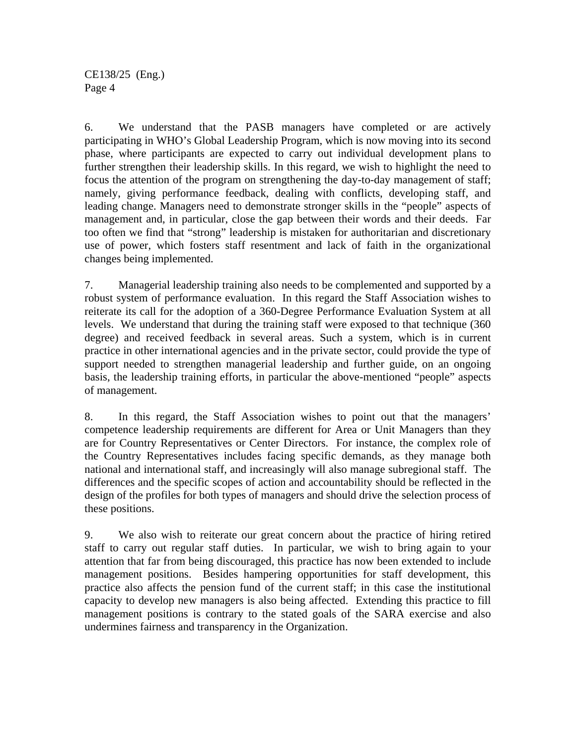6. We understand that the PASB managers have completed or are actively participating in WHO's Global Leadership Program, which is now moving into its second phase, where participants are expected to carry out individual development plans to further strengthen their leadership skills. In this regard, we wish to highlight the need to focus the attention of the program on strengthening the day-to-day management of staff; namely, giving performance feedback, dealing with conflicts, developing staff, and leading change. Managers need to demonstrate stronger skills in the "people" aspects of management and, in particular, close the gap between their words and their deeds. Far too often we find that "strong" leadership is mistaken for authoritarian and discretionary use of power, which fosters staff resentment and lack of faith in the organizational changes being implemented.

7. Managerial leadership training also needs to be complemented and supported by a robust system of performance evaluation. In this regard the Staff Association wishes to reiterate its call for the adoption of a 360-Degree Performance Evaluation System at all levels. We understand that during the training staff were exposed to that technique (360 degree) and received feedback in several areas. Such a system, which is in current practice in other international agencies and in the private sector, could provide the type of support needed to strengthen managerial leadership and further guide, on an ongoing basis, the leadership training efforts, in particular the above-mentioned "people" aspects of management.

8. In this regard, the Staff Association wishes to point out that the managers' competence leadership requirements are different for Area or Unit Managers than they are for Country Representatives or Center Directors. For instance, the complex role of the Country Representatives includes facing specific demands, as they manage both national and international staff, and increasingly will also manage subregional staff. The differences and the specific scopes of action and accountability should be reflected in the design of the profiles for both types of managers and should drive the selection process of these positions.

9. We also wish to reiterate our great concern about the practice of hiring retired staff to carry out regular staff duties. In particular, we wish to bring again to your attention that far from being discouraged, this practice has now been extended to include management positions. Besides hampering opportunities for staff development, this practice also affects the pension fund of the current staff; in this case the institutional capacity to develop new managers is also being affected. Extending this practice to fill management positions is contrary to the stated goals of the SARA exercise and also undermines fairness and transparency in the Organization.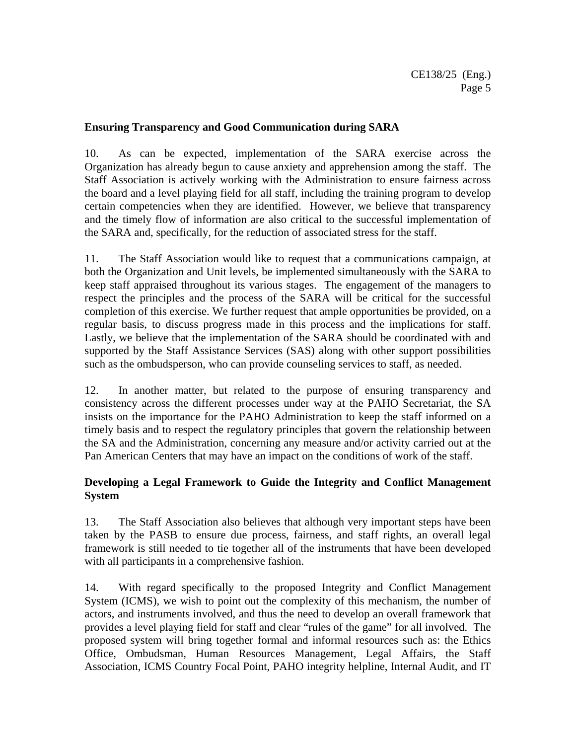#### **Ensuring Transparency and Good Communication during SARA**

10. As can be expected, implementation of the SARA exercise across the Organization has already begun to cause anxiety and apprehension among the staff. The Staff Association is actively working with the Administration to ensure fairness across the board and a level playing field for all staff, including the training program to develop certain competencies when they are identified. However, we believe that transparency and the timely flow of information are also critical to the successful implementation of the SARA and, specifically, for the reduction of associated stress for the staff.

11. The Staff Association would like to request that a communications campaign, at both the Organization and Unit levels, be implemented simultaneously with the SARA to keep staff appraised throughout its various stages. The engagement of the managers to respect the principles and the process of the SARA will be critical for the successful completion of this exercise. We further request that ample opportunities be provided, on a regular basis, to discuss progress made in this process and the implications for staff. Lastly, we believe that the implementation of the SARA should be coordinated with and supported by the Staff Assistance Services (SAS) along with other support possibilities such as the ombudsperson, who can provide counseling services to staff, as needed.

12. In another matter, but related to the purpose of ensuring transparency and consistency across the different processes under way at the PAHO Secretariat, the SA insists on the importance for the PAHO Administration to keep the staff informed on a timely basis and to respect the regulatory principles that govern the relationship between the SA and the Administration, concerning any measure and/or activity carried out at the Pan American Centers that may have an impact on the conditions of work of the staff.

#### **Developing a Legal Framework to Guide the Integrity and Conflict Management System**

13. The Staff Association also believes that although very important steps have been taken by the PASB to ensure due process, fairness, and staff rights, an overall legal framework is still needed to tie together all of the instruments that have been developed with all participants in a comprehensive fashion.

14. With regard specifically to the proposed Integrity and Conflict Management System (ICMS), we wish to point out the complexity of this mechanism, the number of actors, and instruments involved, and thus the need to develop an overall framework that provides a level playing field for staff and clear "rules of the game" for all involved. The proposed system will bring together formal and informal resources such as: the Ethics Office, Ombudsman, Human Resources Management, Legal Affairs, the Staff Association, ICMS Country Focal Point, PAHO integrity helpline, Internal Audit, and IT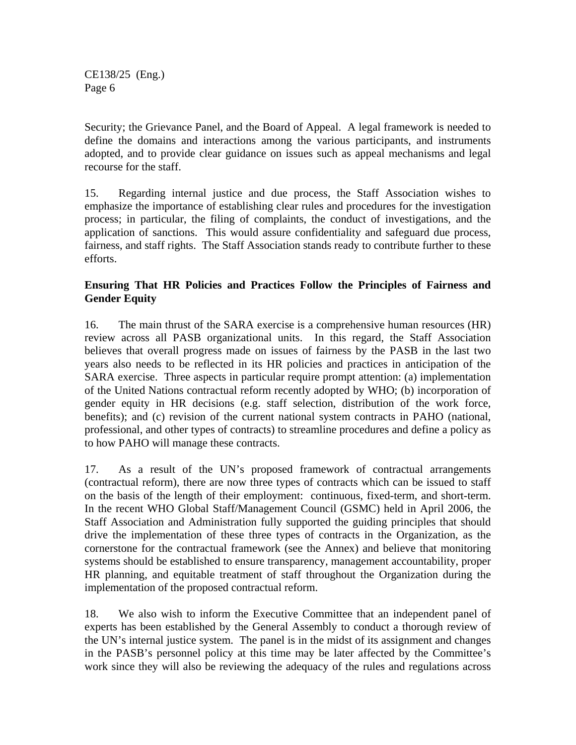Security; the Grievance Panel, and the Board of Appeal. A legal framework is needed to define the domains and interactions among the various participants, and instruments adopted, and to provide clear guidance on issues such as appeal mechanisms and legal recourse for the staff.

15. Regarding internal justice and due process, the Staff Association wishes to emphasize the importance of establishing clear rules and procedures for the investigation process; in particular, the filing of complaints, the conduct of investigations, and the application of sanctions. This would assure confidentiality and safeguard due process, fairness, and staff rights. The Staff Association stands ready to contribute further to these efforts.

#### **Ensuring That HR Policies and Practices Follow the Principles of Fairness and Gender Equity**

16. The main thrust of the SARA exercise is a comprehensive human resources (HR) review across all PASB organizational units. In this regard, the Staff Association believes that overall progress made on issues of fairness by the PASB in the last two years also needs to be reflected in its HR policies and practices in anticipation of the SARA exercise. Three aspects in particular require prompt attention: (a) implementation of the United Nations contractual reform recently adopted by WHO; (b) incorporation of gender equity in HR decisions (e.g. staff selection, distribution of the work force, benefits); and (c) revision of the current national system contracts in PAHO (national, professional, and other types of contracts) to streamline procedures and define a policy as to how PAHO will manage these contracts.

17. As a result of the UN's proposed framework of contractual arrangements (contractual reform), there are now three types of contracts which can be issued to staff on the basis of the length of their employment: continuous, fixed-term, and short-term. In the recent WHO Global Staff/Management Council (GSMC) held in April 2006, the Staff Association and Administration fully supported the guiding principles that should drive the implementation of these three types of contracts in the Organization, as the cornerstone for the contractual framework (see the Annex) and believe that monitoring systems should be established to ensure transparency, management accountability, proper HR planning, and equitable treatment of staff throughout the Organization during the implementation of the proposed contractual reform.

18. We also wish to inform the Executive Committee that an independent panel of experts has been established by the General Assembly to conduct a thorough review of the UN's internal justice system. The panel is in the midst of its assignment and changes in the PASB's personnel policy at this time may be later affected by the Committee's work since they will also be reviewing the adequacy of the rules and regulations across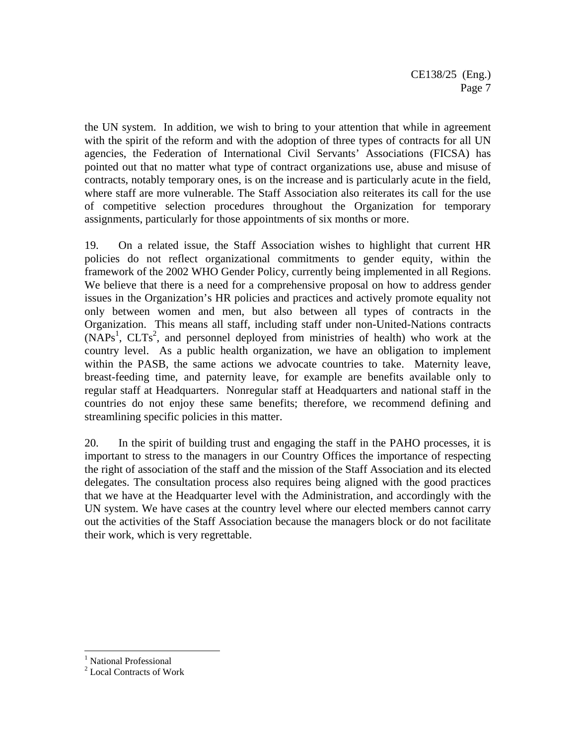the UN system. In addition, we wish to bring to your attention that while in agreement with the spirit of the reform and with the adoption of three types of contracts for all UN agencies, the Federation of International Civil Servants' Associations (FICSA) has pointed out that no matter what type of contract organizations use, abuse and misuse of contracts, notably temporary ones, is on the increase and is particularly acute in the field, where staff are more vulnerable. The Staff Association also reiterates its call for the use of competitive selection procedures throughout the Organization for temporary assignments, particularly for those appointments of six months or more.

19. On a related issue, the Staff Association wishes to highlight that current HR policies do not reflect organizational commitments to gender equity, within the framework of the 2002 WHO Gender Policy, currently being implemented in all Regions. We believe that there is a need for a comprehensive proposal on how to address gender issues in the Organization's HR policies and practices and actively promote equality not only between women and men, but also between all types of contracts in the Organization. This means all staff, including staff under non-United-Nations contracts  $(NAPs<sup>1</sup>, CLTs<sup>2</sup>, and personnel deployed from ministries of health) who work at the$ country level. As a public health organization, we have an obligation to implement within the PASB, the same actions we advocate countries to take. Maternity leave, breast-feeding time, and paternity leave, for example are benefits available only to regular staff at Headquarters. Nonregular staff at Headquarters and national staff in the countries do not enjoy these same benefits; therefore, we recommend defining and streamlining specific policies in this matter.

20. In the spirit of building trust and engaging the staff in the PAHO processes, it is important to stress to the managers in our Country Offices the importance of respecting the right of association of the staff and the mission of the Staff Association and its elected delegates. The consultation process also requires being aligned with the good practices that we have at the Headquarter level with the Administration, and accordingly with the UN system. We have cases at the country level where our elected members cannot carry out the activities of the Staff Association because the managers block or do not facilitate their work, which is very regrettable.

 1 National Professional

<sup>2</sup> Local Contracts of Work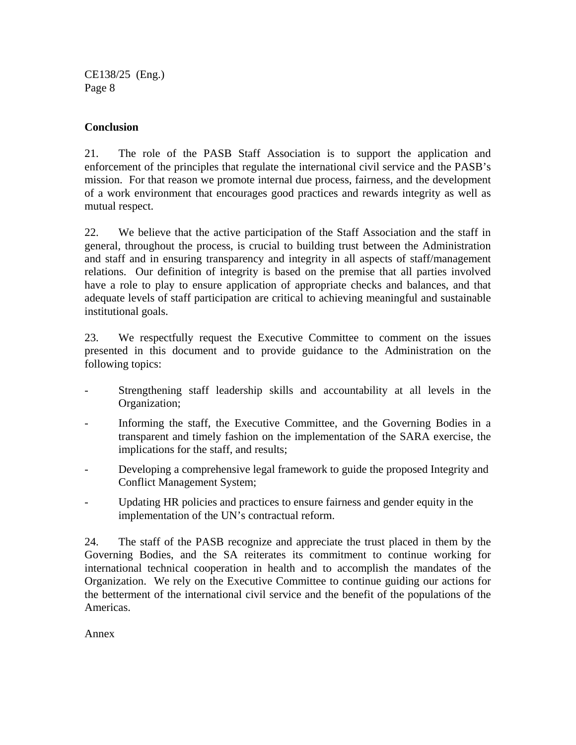#### **Conclusion**

21. The role of the PASB Staff Association is to support the application and enforcement of the principles that regulate the international civil service and the PASB's mission. For that reason we promote internal due process, fairness, and the development of a work environment that encourages good practices and rewards integrity as well as mutual respect.

22. We believe that the active participation of the Staff Association and the staff in general, throughout the process, is crucial to building trust between the Administration and staff and in ensuring transparency and integrity in all aspects of staff/management relations. Our definition of integrity is based on the premise that all parties involved have a role to play to ensure application of appropriate checks and balances, and that adequate levels of staff participation are critical to achieving meaningful and sustainable institutional goals.

23. We respectfully request the Executive Committee to comment on the issues presented in this document and to provide guidance to the Administration on the following topics:

- Strengthening staff leadership skills and accountability at all levels in the Organization;
- Informing the staff, the Executive Committee, and the Governing Bodies in a transparent and timely fashion on the implementation of the SARA exercise, the implications for the staff, and results;
- Developing a comprehensive legal framework to guide the proposed Integrity and Conflict Management System;
- Updating HR policies and practices to ensure fairness and gender equity in the implementation of the UN's contractual reform.

24. The staff of the PASB recognize and appreciate the trust placed in them by the Governing Bodies, and the SA reiterates its commitment to continue working for international technical cooperation in health and to accomplish the mandates of the Organization. We rely on the Executive Committee to continue guiding our actions for the betterment of the international civil service and the benefit of the populations of the Americas.

Annex